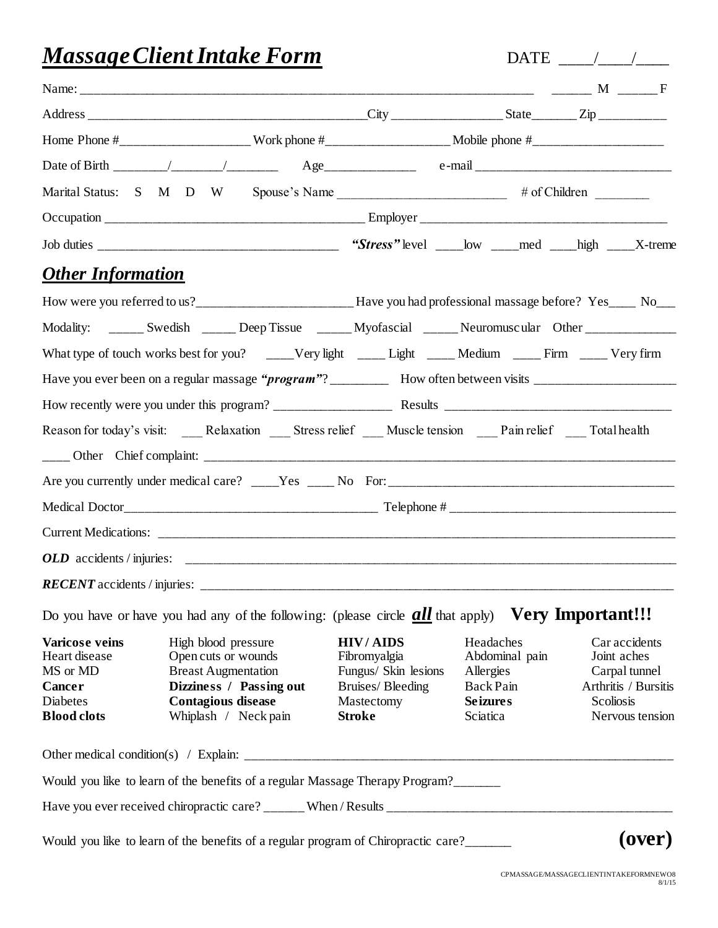| <b>Massage Client Intake Form</b>                                                                     |                                                                                                                                                          |                                                                                                            |                                                                                      | DATE $\frac{1}{\sqrt{2}}$                                                                             |  |
|-------------------------------------------------------------------------------------------------------|----------------------------------------------------------------------------------------------------------------------------------------------------------|------------------------------------------------------------------------------------------------------------|--------------------------------------------------------------------------------------|-------------------------------------------------------------------------------------------------------|--|
|                                                                                                       |                                                                                                                                                          |                                                                                                            |                                                                                      |                                                                                                       |  |
|                                                                                                       |                                                                                                                                                          |                                                                                                            |                                                                                      |                                                                                                       |  |
|                                                                                                       |                                                                                                                                                          |                                                                                                            |                                                                                      |                                                                                                       |  |
|                                                                                                       |                                                                                                                                                          |                                                                                                            |                                                                                      |                                                                                                       |  |
|                                                                                                       |                                                                                                                                                          |                                                                                                            |                                                                                      |                                                                                                       |  |
|                                                                                                       |                                                                                                                                                          |                                                                                                            |                                                                                      |                                                                                                       |  |
|                                                                                                       |                                                                                                                                                          |                                                                                                            |                                                                                      |                                                                                                       |  |
| <b>Other Information</b>                                                                              |                                                                                                                                                          |                                                                                                            |                                                                                      |                                                                                                       |  |
|                                                                                                       | How were you referred to us?___________________________Have you had professional massage before? Yes____ No___                                           |                                                                                                            |                                                                                      |                                                                                                       |  |
|                                                                                                       | Modality: ______ Swedish ______ Deep Tissue ______ Myofascial _____ Neuromuscular Other ___________                                                      |                                                                                                            |                                                                                      |                                                                                                       |  |
|                                                                                                       | What type of touch works best for you? ____Very light ____ Light ____ Medium ____ Firm ____ Very firm                                                    |                                                                                                            |                                                                                      |                                                                                                       |  |
|                                                                                                       |                                                                                                                                                          |                                                                                                            |                                                                                      |                                                                                                       |  |
|                                                                                                       |                                                                                                                                                          |                                                                                                            |                                                                                      |                                                                                                       |  |
|                                                                                                       |                                                                                                                                                          |                                                                                                            |                                                                                      |                                                                                                       |  |
|                                                                                                       |                                                                                                                                                          |                                                                                                            |                                                                                      |                                                                                                       |  |
|                                                                                                       |                                                                                                                                                          |                                                                                                            |                                                                                      |                                                                                                       |  |
|                                                                                                       |                                                                                                                                                          |                                                                                                            |                                                                                      |                                                                                                       |  |
|                                                                                                       |                                                                                                                                                          |                                                                                                            |                                                                                      |                                                                                                       |  |
|                                                                                                       |                                                                                                                                                          |                                                                                                            |                                                                                      |                                                                                                       |  |
|                                                                                                       |                                                                                                                                                          |                                                                                                            |                                                                                      |                                                                                                       |  |
|                                                                                                       | Do you have or have you had any of the following: (please circle $all$ that apply) Very Important!!!                                                     |                                                                                                            |                                                                                      |                                                                                                       |  |
| <b>Varicose veins</b><br>Heart disease<br>MS or MD<br>Cancer<br><b>Diabetes</b><br><b>Blood clots</b> | High blood pressure<br>Open cuts or wounds<br><b>Breast Augmentation</b><br>Dizziness / Passing out<br><b>Contagious disease</b><br>Whiplash / Neck pain | <b>HIV/AIDS</b><br>Fibromyalgia<br>Fungus/ Skin lesions<br>Bruises/Bleeding<br>Mastectomy<br><b>Stroke</b> | Headaches<br>Abdominal pain<br>Allergies<br>Back Pain<br><b>Seizures</b><br>Sciatica | Car accidents<br>Joint aches<br>Carpal tunnel<br>Arthritis / Bursitis<br>Scoliosis<br>Nervous tension |  |
|                                                                                                       |                                                                                                                                                          |                                                                                                            |                                                                                      |                                                                                                       |  |
|                                                                                                       | Would you like to learn of the benefits of a regular Massage Therapy Program?_______                                                                     |                                                                                                            |                                                                                      |                                                                                                       |  |
|                                                                                                       |                                                                                                                                                          |                                                                                                            |                                                                                      |                                                                                                       |  |
|                                                                                                       | Would you like to learn of the benefits of a regular program of Chiropractic care?______                                                                 |                                                                                                            |                                                                                      | (over)                                                                                                |  |